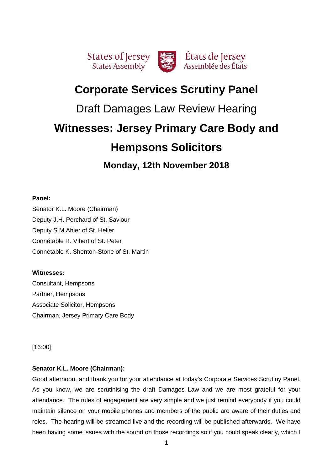

# **Corporate Services Scrutiny Panel**

# Draft Damages Law Review Hearing

# **Witnesses: Jersey Primary Care Body and**

# **Hempsons Solicitors**

**Monday, 12th November 2018**

# **Panel:**

Senator K.L. Moore (Chairman) Deputy J.H. Perchard of St. Saviour Deputy S.M Ahier of St. Helier Connétable R. Vibert of St. Peter Connétable K. Shenton-Stone of St. Martin

# **Witnesses:**

Consultant, Hempsons Partner, Hempsons Associate Solicitor, Hempsons Chairman, Jersey Primary Care Body

[16:00]

# **Senator K.L. Moore (Chairman):**

Good afternoon, and thank you for your attendance at today's Corporate Services Scrutiny Panel. As you know, we are scrutinising the draft Damages Law and we are most grateful for your attendance. The rules of engagement are very simple and we just remind everybody if you could maintain silence on your mobile phones and members of the public are aware of their duties and roles. The hearing will be streamed live and the recording will be published afterwards. We have been having some issues with the sound on those recordings so if you could speak clearly, which I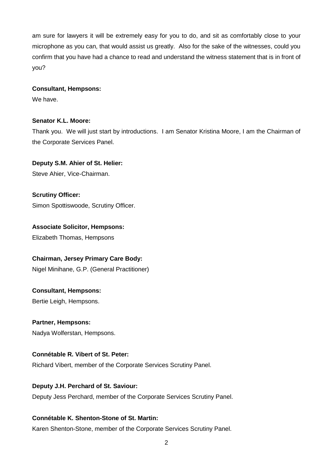am sure for lawyers it will be extremely easy for you to do, and sit as comfortably close to your microphone as you can, that would assist us greatly. Also for the sake of the witnesses, could you confirm that you have had a chance to read and understand the witness statement that is in front of you?

## **Consultant, Hempsons:**

We have.

# **Senator K.L. Moore:**

Thank you. We will just start by introductions. I am Senator Kristina Moore, I am the Chairman of the Corporate Services Panel.

# **Deputy S.M. Ahier of St. Helier:**

Steve Ahier, Vice-Chairman.

**Scrutiny Officer:** Simon Spottiswoode, Scrutiny Officer.

# **Associate Solicitor, Hempsons:**

Elizabeth Thomas, Hempsons

# **Chairman, Jersey Primary Care Body:**

Nigel Minihane, G.P. (General Practitioner)

# **Consultant, Hempsons:**

Bertie Leigh, Hempsons.

# **Partner, Hempsons:**

Nadya Wolferstan, Hempsons.

# **Connétable R. Vibert of St. Peter:**

Richard Vibert, member of the Corporate Services Scrutiny Panel.

# **Deputy J.H. Perchard of St. Saviour:**

Deputy Jess Perchard, member of the Corporate Services Scrutiny Panel.

# **Connétable K. Shenton-Stone of St. Martin:**

Karen Shenton-Stone, member of the Corporate Services Scrutiny Panel.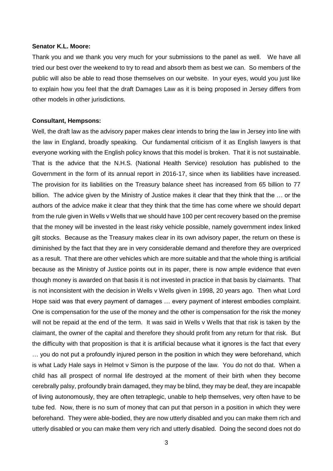## **Senator K.L. Moore:**

Thank you and we thank you very much for your submissions to the panel as well. We have all tried our best over the weekend to try to read and absorb them as best we can. So members of the public will also be able to read those themselves on our website. In your eyes, would you just like to explain how you feel that the draft Damages Law as it is being proposed in Jersey differs from other models in other jurisdictions.

### **Consultant, Hempsons:**

Well, the draft law as the advisory paper makes clear intends to bring the law in Jersey into line with the law in England, broadly speaking. Our fundamental criticism of it as English lawyers is that everyone working with the English policy knows that this model is broken. That it is not sustainable. That is the advice that the N.H.S. (National Health Service) resolution has published to the Government in the form of its annual report in 2016-17, since when its liabilities have increased. The provision for its liabilities on the Treasury balance sheet has increased from 65 billion to 77 billion. The advice given by the Ministry of Justice makes it clear that they think that the ... or the authors of the advice make it clear that they think that the time has come where we should depart from the rule given in Wells v Wells that we should have 100 per cent recovery based on the premise that the money will be invested in the least risky vehicle possible, namely government index linked gilt stocks. Because as the Treasury makes clear in its own advisory paper, the return on these is diminished by the fact that they are in very considerable demand and therefore they are overpriced as a result. That there are other vehicles which are more suitable and that the whole thing is artificial because as the Ministry of Justice points out in its paper, there is now ample evidence that even though money is awarded on that basis it is not invested in practice in that basis by claimants. That is not inconsistent with the decision in Wells v Wells given in 1998, 20 years ago. Then what Lord Hope said was that every payment of damages … every payment of interest embodies complaint. One is compensation for the use of the money and the other is compensation for the risk the money will not be repaid at the end of the term. It was said in Wells v Wells that that risk is taken by the claimant, the owner of the capital and therefore they should profit from any return for that risk. But the difficulty with that proposition is that it is artificial because what it ignores is the fact that every … you do not put a profoundly injured person in the position in which they were beforehand, which is what Lady Hale says in Helmot v Simon is the purpose of the law. You do not do that. When a child has all prospect of normal life destroyed at the moment of their birth when they become cerebrally palsy, profoundly brain damaged, they may be blind, they may be deaf, they are incapable of living autonomously, they are often tetraplegic, unable to help themselves, very often have to be tube fed. Now, there is no sum of money that can put that person in a position in which they were beforehand. They were able-bodied, they are now utterly disabled and you can make them rich and utterly disabled or you can make them very rich and utterly disabled. Doing the second does not do

3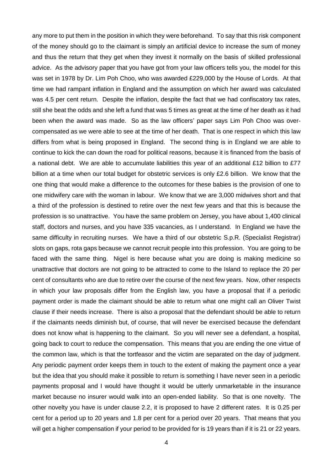any more to put them in the position in which they were beforehand. To say that this risk component of the money should go to the claimant is simply an artificial device to increase the sum of money and thus the return that they get when they invest it normally on the basis of skilled professional advice. As the advisory paper that you have got from your law officers tells you, the model for this was set in 1978 by Dr. Lim Poh Choo, who was awarded £229,000 by the House of Lords. At that time we had rampant inflation in England and the assumption on which her award was calculated was 4.5 per cent return. Despite the inflation, despite the fact that we had confiscatory tax rates, still she beat the odds and she left a fund that was 5 times as great at the time of her death as it had been when the award was made. So as the law officers' paper says Lim Poh Choo was overcompensated as we were able to see at the time of her death. That is one respect in which this law differs from what is being proposed in England. The second thing is in England we are able to continue to kick the can down the road for political reasons, because it is financed from the basis of a national debt. We are able to accumulate liabilities this year of an additional £12 billion to £77 billion at a time when our total budget for obstetric services is only £2.6 billion. We know that the one thing that would make a difference to the outcomes for these babies is the provision of one to one midwifery care with the woman in labour. We know that we are 3,000 midwives short and that a third of the profession is destined to retire over the next few years and that this is because the profession is so unattractive. You have the same problem on Jersey, you have about 1,400 clinical staff, doctors and nurses, and you have 335 vacancies, as I understand. In England we have the same difficulty in recruiting nurses. We have a third of our obstetric S.p.R. (Specialist Registrar) slots on gaps, rota gaps because we cannot recruit people into this profession. You are going to be faced with the same thing. Nigel is here because what you are doing is making medicine so unattractive that doctors are not going to be attracted to come to the Island to replace the 20 per cent of consultants who are due to retire over the course of the next few years. Now, other respects in which your law proposals differ from the English law, you have a proposal that if a periodic payment order is made the claimant should be able to return what one might call an Oliver Twist clause if their needs increase. There is also a proposal that the defendant should be able to return if the claimants needs diminish but, of course, that will never be exercised because the defendant does not know what is happening to the claimant. So you will never see a defendant, a hospital, going back to court to reduce the compensation. This means that you are ending the one virtue of the common law, which is that the tortfeasor and the victim are separated on the day of judgment. Any periodic payment order keeps them in touch to the extent of making the payment once a year but the idea that you should make it possible to return is something I have never seen in a periodic payments proposal and I would have thought it would be utterly unmarketable in the insurance market because no insurer would walk into an open-ended liability. So that is one novelty. The other novelty you have is under clause 2.2, it is proposed to have 2 different rates. It is 0.25 per cent for a period up to 20 years and 1.8 per cent for a period over 20 years. That means that you will get a higher compensation if your period to be provided for is 19 years than if it is 21 or 22 years.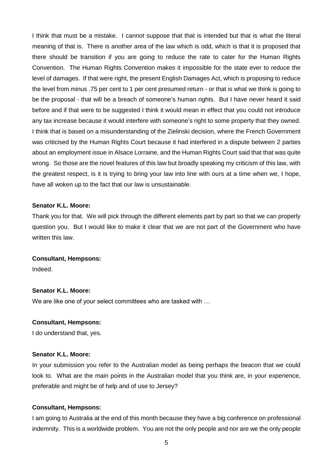I think that must be a mistake. I cannot suppose that that is intended but that is what the literal meaning of that is. There is another area of the law which is odd, which is that it is proposed that there should be transition if you are going to reduce the rate to cater for the Human Rights Convention. The Human Rights Convention makes it impossible for the state ever to reduce the level of damages. If that were right, the present English Damages Act, which is proposing to reduce the level from minus .75 per cent to 1 per cent presumed return - or that is what we think is going to be the proposal - that will be a breach of someone's human rights. But I have never heard it said before and if that were to be suggested I think it would mean in effect that you could not introduce any tax increase because it would interfere with someone's right to some property that they owned. I think that is based on a misunderstanding of the Zielinski decision, where the French Government was criticised by the Human Rights Court because it had interfered in a dispute between 2 parties about an employment issue in Alsace Lorraine, and the Human Rights Court said that that was quite wrong. So those are the novel features of this law but broadly speaking my criticism of this law, with the greatest respect, is it is trying to bring your law into line with ours at a time when we, I hope, have all woken up to the fact that our law is unsustainable.

# **Senator K.L. Moore:**

Thank you for that. We will pick through the different elements part by part so that we can properly question you. But I would like to make it clear that we are not part of the Government who have written this law.

#### **Consultant, Hempsons:**

Indeed.

# **Senator K.L. Moore:**

We are like one of your select committees who are tasked with …

## **Consultant, Hempsons:**

I do understand that, yes.

## **Senator K.L. Moore:**

In your submission you refer to the Australian model as being perhaps the beacon that we could look to. What are the main points in the Australian model that you think are, in your experience, preferable and might be of help and of use to Jersey?

#### **Consultant, Hempsons:**

I am going to Australia at the end of this month because they have a big conference on professional indemnity. This is a worldwide problem. You are not the only people and nor are we the only people

5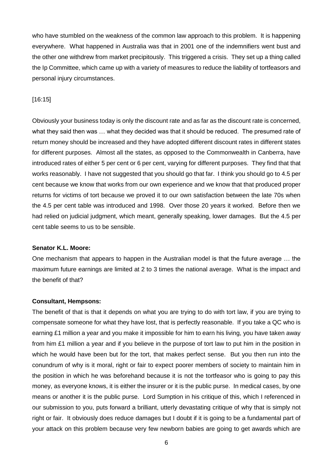who have stumbled on the weakness of the common law approach to this problem. It is happening everywhere. What happened in Australia was that in 2001 one of the indemnifiers went bust and the other one withdrew from market precipitously. This triggered a crisis. They set up a thing called the Ip Committee, which came up with a variety of measures to reduce the liability of tortfeasors and personal injury circumstances.

## [16:15]

Obviously your business today is only the discount rate and as far as the discount rate is concerned, what they said then was … what they decided was that it should be reduced. The presumed rate of return money should be increased and they have adopted different discount rates in different states for different purposes. Almost all the states, as opposed to the Commonwealth in Canberra, have introduced rates of either 5 per cent or 6 per cent, varying for different purposes. They find that that works reasonably. I have not suggested that you should go that far. I think you should go to 4.5 per cent because we know that works from our own experience and we know that that produced proper returns for victims of tort because we proved it to our own satisfaction between the late 70s when the 4.5 per cent table was introduced and 1998. Over those 20 years it worked. Before then we had relied on judicial judgment, which meant, generally speaking, lower damages. But the 4.5 per cent table seems to us to be sensible.

#### **Senator K.L. Moore:**

One mechanism that appears to happen in the Australian model is that the future average … the maximum future earnings are limited at 2 to 3 times the national average. What is the impact and the benefit of that?

#### **Consultant, Hempsons:**

The benefit of that is that it depends on what you are trying to do with tort law, if you are trying to compensate someone for what they have lost, that is perfectly reasonable. If you take a QC who is earning £1 million a year and you make it impossible for him to earn his living, you have taken away from him £1 million a year and if you believe in the purpose of tort law to put him in the position in which he would have been but for the tort, that makes perfect sense. But you then run into the conundrum of why is it moral, right or fair to expect poorer members of society to maintain him in the position in which he was beforehand because it is not the tortfeasor who is going to pay this money, as everyone knows, it is either the insurer or it is the public purse. In medical cases, by one means or another it is the public purse. Lord Sumption in his critique of this, which I referenced in our submission to you, puts forward a brilliant, utterly devastating critique of why that is simply not right or fair. It obviously does reduce damages but I doubt if it is going to be a fundamental part of your attack on this problem because very few newborn babies are going to get awards which are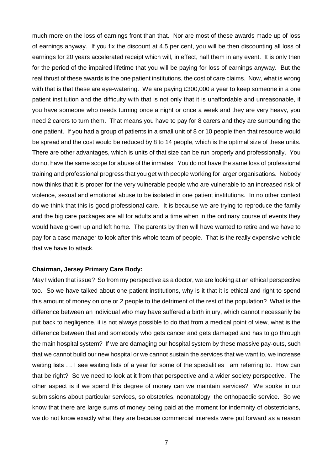much more on the loss of earnings front than that. Nor are most of these awards made up of loss of earnings anyway. If you fix the discount at 4.5 per cent, you will be then discounting all loss of earnings for 20 years accelerated receipt which will, in effect, half them in any event. It is only then for the period of the impaired lifetime that you will be paying for loss of earnings anyway. But the real thrust of these awards is the one patient institutions, the cost of care claims. Now, what is wrong with that is that these are eye-watering. We are paying £300,000 a year to keep someone in a one patient institution and the difficulty with that is not only that it is unaffordable and unreasonable, if you have someone who needs turning once a night or once a week and they are very heavy, you need 2 carers to turn them. That means you have to pay for 8 carers and they are surrounding the one patient. If you had a group of patients in a small unit of 8 or 10 people then that resource would be spread and the cost would be reduced by 8 to 14 people, which is the optimal size of these units. There are other advantages, which is units of that size can be run properly and professionally. You do not have the same scope for abuse of the inmates. You do not have the same loss of professional training and professional progress that you get with people working for larger organisations. Nobody now thinks that it is proper for the very vulnerable people who are vulnerable to an increased risk of violence, sexual and emotional abuse to be isolated in one patient institutions. In no other context do we think that this is good professional care. It is because we are trying to reproduce the family and the big care packages are all for adults and a time when in the ordinary course of events they would have grown up and left home. The parents by then will have wanted to retire and we have to pay for a case manager to look after this whole team of people. That is the really expensive vehicle that we have to attack.

## **Chairman, Jersey Primary Care Body:**

May I widen that issue? So from my perspective as a doctor, we are looking at an ethical perspective too. So we have talked about one patient institutions, why is it that it is ethical and right to spend this amount of money on one or 2 people to the detriment of the rest of the population? What is the difference between an individual who may have suffered a birth injury, which cannot necessarily be put back to negligence, it is not always possible to do that from a medical point of view, what is the difference between that and somebody who gets cancer and gets damaged and has to go through the main hospital system? If we are damaging our hospital system by these massive pay-outs, such that we cannot build our new hospital or we cannot sustain the services that we want to, we increase waiting lists … I see waiting lists of a year for some of the specialities I am referring to. How can that be right? So we need to look at it from that perspective and a wider society perspective. The other aspect is if we spend this degree of money can we maintain services? We spoke in our submissions about particular services, so obstetrics, neonatology, the orthopaedic service. So we know that there are large sums of money being paid at the moment for indemnity of obstetricians, we do not know exactly what they are because commercial interests were put forward as a reason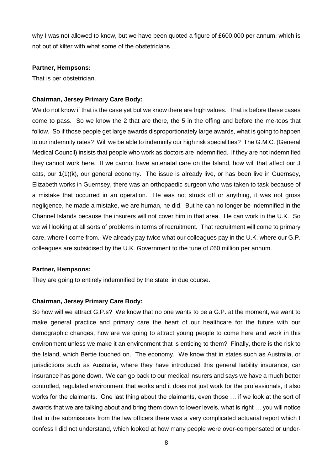why I was not allowed to know, but we have been quoted a figure of £600,000 per annum, which is not out of kilter with what some of the obstetricians …

### **Partner, Hempsons:**

That is per obstetrician.

## **Chairman, Jersey Primary Care Body:**

We do not know if that is the case yet but we know there are high values. That is before these cases come to pass. So we know the 2 that are there, the 5 in the offing and before the me-toos that follow. So if those people get large awards disproportionately large awards, what is going to happen to our indemnity rates? Will we be able to indemnify our high risk specialities? The G.M.C. (General Medical Council) insists that people who work as doctors are indemnified. If they are not indemnified they cannot work here. If we cannot have antenatal care on the Island, how will that affect our J cats, our 1(1)(k), our general economy. The issue is already live, or has been live in Guernsey, Elizabeth works in Guernsey, there was an orthopaedic surgeon who was taken to task because of a mistake that occurred in an operation. He was not struck off or anything, it was not gross negligence, he made a mistake, we are human, he did. But he can no longer be indemnified in the Channel Islands because the insurers will not cover him in that area. He can work in the U.K. So we will looking at all sorts of problems in terms of recruitment. That recruitment will come to primary care, where I come from. We already pay twice what our colleagues pay in the U.K. where our G.P. colleagues are subsidised by the U.K. Government to the tune of £60 million per annum.

## **Partner, Hempsons:**

They are going to entirely indemnified by the state, in due course.

#### **Chairman, Jersey Primary Care Body:**

So how will we attract G.P.s? We know that no one wants to be a G.P. at the moment, we want to make general practice and primary care the heart of our healthcare for the future with our demographic changes, how are we going to attract young people to come here and work in this environment unless we make it an environment that is enticing to them? Finally, there is the risk to the Island, which Bertie touched on. The economy. We know that in states such as Australia, or jurisdictions such as Australia, where they have introduced this general liability insurance, car insurance has gone down. We can go back to our medical insurers and says we have a much better controlled, regulated environment that works and it does not just work for the professionals, it also works for the claimants. One last thing about the claimants, even those … if we look at the sort of awards that we are talking about and bring them down to lower levels, what is right … you will notice that in the submissions from the law officers there was a very complicated actuarial report which I confess I did not understand, which looked at how many people were over-compensated or under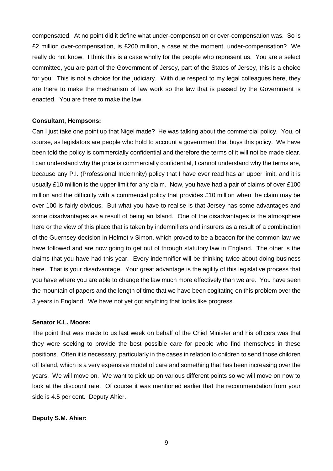compensated. At no point did it define what under-compensation or over-compensation was. So is £2 million over-compensation, is £200 million, a case at the moment, under-compensation? We really do not know. I think this is a case wholly for the people who represent us. You are a select committee, you are part of the Government of Jersey, part of the States of Jersey, this is a choice for you. This is not a choice for the judiciary. With due respect to my legal colleagues here, they are there to make the mechanism of law work so the law that is passed by the Government is enacted. You are there to make the law.

### **Consultant, Hempsons:**

Can I just take one point up that Nigel made? He was talking about the commercial policy. You, of course, as legislators are people who hold to account a government that buys this policy. We have been told the policy is commercially confidential and therefore the terms of it will not be made clear. I can understand why the price is commercially confidential, I cannot understand why the terms are, because any P.I. (Professional Indemnity) policy that I have ever read has an upper limit, and it is usually £10 million is the upper limit for any claim. Now, you have had a pair of claims of over £100 million and the difficulty with a commercial policy that provides £10 million when the claim may be over 100 is fairly obvious. But what you have to realise is that Jersey has some advantages and some disadvantages as a result of being an Island. One of the disadvantages is the atmosphere here or the view of this place that is taken by indemnifiers and insurers as a result of a combination of the Guernsey decision in Helmot v Simon, which proved to be a beacon for the common law we have followed and are now going to get out of through statutory law in England. The other is the claims that you have had this year. Every indemnifier will be thinking twice about doing business here. That is your disadvantage. Your great advantage is the agility of this legislative process that you have where you are able to change the law much more effectively than we are. You have seen the mountain of papers and the length of time that we have been cogitating on this problem over the 3 years in England. We have not yet got anything that looks like progress.

## **Senator K.L. Moore:**

The point that was made to us last week on behalf of the Chief Minister and his officers was that they were seeking to provide the best possible care for people who find themselves in these positions. Often it is necessary, particularly in the cases in relation to children to send those children off Island, which is a very expensive model of care and something that has been increasing over the years. We will move on. We want to pick up on various different points so we will move on now to look at the discount rate. Of course it was mentioned earlier that the recommendation from your side is 4.5 per cent. Deputy Ahier.

### **Deputy S.M. Ahier:**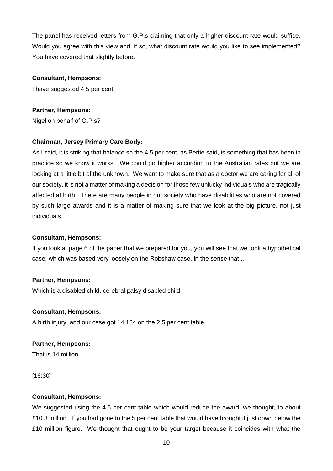The panel has received letters from G.P.s claiming that only a higher discount rate would suffice. Would you agree with this view and, if so, what discount rate would you like to see implemented? You have covered that slightly before.

## **Consultant, Hempsons:**

I have suggested 4.5 per cent.

# **Partner, Hempsons:**

Nigel on behalf of G.P.s?

# **Chairman, Jersey Primary Care Body:**

As I said, it is striking that balance so the 4.5 per cent, as Bertie said, is something that has been in practice so we know it works. We could go higher according to the Australian rates but we are looking at a little bit of the unknown. We want to make sure that as a doctor we are caring for all of our society, it is not a matter of making a decision for those few unlucky individuals who are tragically affected at birth. There are many people in our society who have disabilities who are not covered by such large awards and it is a matter of making sure that we look at the big picture, not just individuals.

# **Consultant, Hempsons:**

If you look at page 6 of the paper that we prepared for you, you will see that we took a hypothetical case, which was based very loosely on the Robshaw case, in the sense that …

# **Partner, Hempsons:**

Which is a disabled child, cerebral palsy disabled child.

# **Consultant, Hempsons:**

A birth injury, and our case got 14.184 on the 2.5 per cent table.

# **Partner, Hempsons:**

That is 14 million.

[16:30]

# **Consultant, Hempsons:**

We suggested using the 4.5 per cent table which would reduce the award, we thought, to about £10.3 million. If you had gone to the 5 per cent table that would have brought it just down below the £10 million figure. We thought that ought to be your target because it coincides with what the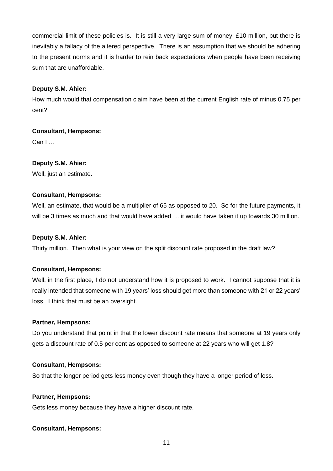commercial limit of these policies is. It is still a very large sum of money, £10 million, but there is inevitably a fallacy of the altered perspective. There is an assumption that we should be adhering to the present norms and it is harder to rein back expectations when people have been receiving sum that are unaffordable.

# **Deputy S.M. Ahier:**

How much would that compensation claim have been at the current English rate of minus 0.75 per cent?

# **Consultant, Hempsons:**

Can I …

# **Deputy S.M. Ahier:**

Well, just an estimate.

# **Consultant, Hempsons:**

Well, an estimate, that would be a multiplier of 65 as opposed to 20. So for the future payments, it will be 3 times as much and that would have added … it would have taken it up towards 30 million.

# **Deputy S.M. Ahier:**

Thirty million. Then what is your view on the split discount rate proposed in the draft law?

# **Consultant, Hempsons:**

Well, in the first place, I do not understand how it is proposed to work. I cannot suppose that it is really intended that someone with 19 years' loss should get more than someone with 21 or 22 years' loss. I think that must be an oversight.

# **Partner, Hempsons:**

Do you understand that point in that the lower discount rate means that someone at 19 years only gets a discount rate of 0.5 per cent as opposed to someone at 22 years who will get 1.8?

# **Consultant, Hempsons:**

So that the longer period gets less money even though they have a longer period of loss.

## **Partner, Hempsons:**

Gets less money because they have a higher discount rate.

# **Consultant, Hempsons:**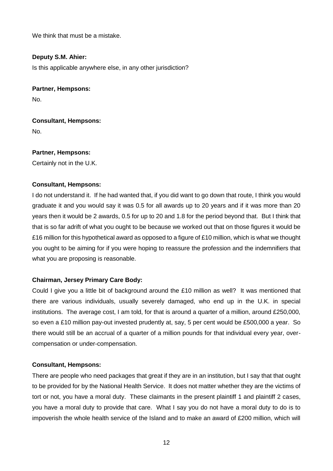We think that must be a mistake.

# **Deputy S.M. Ahier:**

Is this applicable anywhere else, in any other jurisdiction?

**Partner, Hempsons:**

No.

**Consultant, Hempsons:** No.

**Partner, Hempsons:** Certainly not in the U.K.

## **Consultant, Hempsons:**

I do not understand it. If he had wanted that, if you did want to go down that route, I think you would graduate it and you would say it was 0.5 for all awards up to 20 years and if it was more than 20 years then it would be 2 awards, 0.5 for up to 20 and 1.8 for the period beyond that. But I think that that is so far adrift of what you ought to be because we worked out that on those figures it would be £16 million for this hypothetical award as opposed to a figure of £10 million, which is what we thought you ought to be aiming for if you were hoping to reassure the profession and the indemnifiers that what you are proposing is reasonable.

## **Chairman, Jersey Primary Care Body:**

Could I give you a little bit of background around the £10 million as well? It was mentioned that there are various individuals, usually severely damaged, who end up in the U.K. in special institutions. The average cost, I am told, for that is around a quarter of a million, around £250,000, so even a £10 million pay-out invested prudently at, say, 5 per cent would be £500,000 a year. So there would still be an accrual of a quarter of a million pounds for that individual every year, overcompensation or under-compensation.

## **Consultant, Hempsons:**

There are people who need packages that great if they are in an institution, but I say that that ought to be provided for by the National Health Service. It does not matter whether they are the victims of tort or not, you have a moral duty. These claimants in the present plaintiff 1 and plaintiff 2 cases, you have a moral duty to provide that care. What I say you do not have a moral duty to do is to impoverish the whole health service of the Island and to make an award of £200 million, which will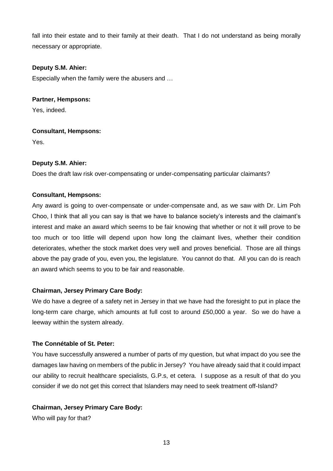fall into their estate and to their family at their death. That I do not understand as being morally necessary or appropriate.

# **Deputy S.M. Ahier:**

Especially when the family were the abusers and …

# **Partner, Hempsons:**

Yes, indeed.

# **Consultant, Hempsons:**

Yes.

# **Deputy S.M. Ahier:**

Does the draft law risk over-compensating or under-compensating particular claimants?

# **Consultant, Hempsons:**

Any award is going to over-compensate or under-compensate and, as we saw with Dr. Lim Poh Choo, I think that all you can say is that we have to balance society's interests and the claimant's interest and make an award which seems to be fair knowing that whether or not it will prove to be too much or too little will depend upon how long the claimant lives, whether their condition deteriorates, whether the stock market does very well and proves beneficial. Those are all things above the pay grade of you, even you, the legislature. You cannot do that. All you can do is reach an award which seems to you to be fair and reasonable.

# **Chairman, Jersey Primary Care Body:**

We do have a degree of a safety net in Jersey in that we have had the foresight to put in place the long-term care charge, which amounts at full cost to around £50,000 a year. So we do have a leeway within the system already.

# **The Connétable of St. Peter:**

You have successfully answered a number of parts of my question, but what impact do you see the damages law having on members of the public in Jersey? You have already said that it could impact our ability to recruit healthcare specialists, G.P.s, et cetera. I suppose as a result of that do you consider if we do not get this correct that Islanders may need to seek treatment off-Island?

# **Chairman, Jersey Primary Care Body:**

Who will pay for that?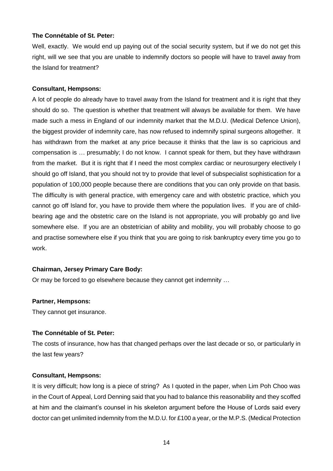## **The Connétable of St. Peter:**

Well, exactly. We would end up paying out of the social security system, but if we do not get this right, will we see that you are unable to indemnify doctors so people will have to travel away from the Island for treatment?

## **Consultant, Hempsons:**

A lot of people do already have to travel away from the Island for treatment and it is right that they should do so. The question is whether that treatment will always be available for them. We have made such a mess in England of our indemnity market that the M.D.U. (Medical Defence Union), the biggest provider of indemnity care, has now refused to indemnify spinal surgeons altogether. It has withdrawn from the market at any price because it thinks that the law is so capricious and compensation is … presumably; I do not know. I cannot speak for them, but they have withdrawn from the market. But it is right that if I need the most complex cardiac or neurosurgery electively I should go off Island, that you should not try to provide that level of subspecialist sophistication for a population of 100,000 people because there are conditions that you can only provide on that basis. The difficulty is with general practice, with emergency care and with obstetric practice, which you cannot go off Island for, you have to provide them where the population lives. If you are of childbearing age and the obstetric care on the Island is not appropriate, you will probably go and live somewhere else. If you are an obstetrician of ability and mobility, you will probably choose to go and practise somewhere else if you think that you are going to risk bankruptcy every time you go to work.

# **Chairman, Jersey Primary Care Body:**

Or may be forced to go elsewhere because they cannot get indemnity …

## **Partner, Hempsons:**

They cannot get insurance.

## **The Connétable of St. Peter:**

The costs of insurance, how has that changed perhaps over the last decade or so, or particularly in the last few years?

## **Consultant, Hempsons:**

It is very difficult; how long is a piece of string? As I quoted in the paper, when Lim Poh Choo was in the Court of Appeal, Lord Denning said that you had to balance this reasonability and they scoffed at him and the claimant's counsel in his skeleton argument before the House of Lords said every doctor can get unlimited indemnity from the M.D.U. for £100 a year, or the M.P.S. (Medical Protection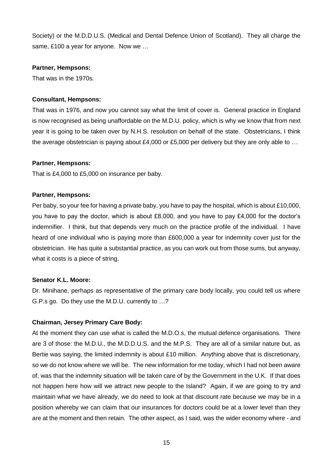Society) or the M.D.D.U.S. (Medical and Dental Defence Union of Scotland). They all charge the same, £100 a year for anyone. Now we ...

## **Partner, Hempsons:**

That was in the 1970s.

# **Consultant, Hempsons:**

That was in 1976, and now you cannot say what the limit of cover is. General practice in England is now recognised as being unaffordable on the M.D.U. policy, which is why we know that from next year it is going to be taken over by N.H.S. resolution on behalf of the state. Obstetricians, I think the average obstetrician is paying about £4,000 or £5,000 per delivery but they are only able to …

## **Partner, Hempsons:**

That is £4,000 to £5,000 on insurance per baby.

## **Partner, Hempsons:**

Per baby, so your fee for having a private baby, you have to pay the hospital, which is about £10,000, you have to pay the doctor, which is about £8,000, and you have to pay £4,000 for the doctor's indemnifier. I think, but that depends very much on the practice profile of the individual. I have heard of one individual who is paying more than £600,000 a year for indemnity cover just for the obstetrician. He has quite a substantial practice, as you can work out from those sums, but anyway, what it costs is a piece of string.

## **Senator K.L. Moore:**

Dr. Minihane, perhaps as representative of the primary care body locally, you could tell us where G.P.s go. Do they use the M.D.U. currently to …?

# **Chairman, Jersey Primary Care Body:**

At the moment they can use what is called the M.D.O.s, the mutual defence organisations. There are 3 of those: the M.D.U., the M.D.D.U.S. and the M.P.S. They are all of a similar nature but, as Bertie was saying, the limited indemnity is about £10 million. Anything above that is discretionary, so we do not know where we will be. The new information for me today, which I had not been aware of, was that the indemnity situation will be taken care of by the Government in the U.K. If that does not happen here how will we attract new people to the Island? Again, if we are going to try and maintain what we have already, we do need to look at that discount rate because we may be in a position whereby we can claim that our insurances for doctors could be at a lower level than they are at the moment and then retain. The other aspect, as I said, was the wider economy where - and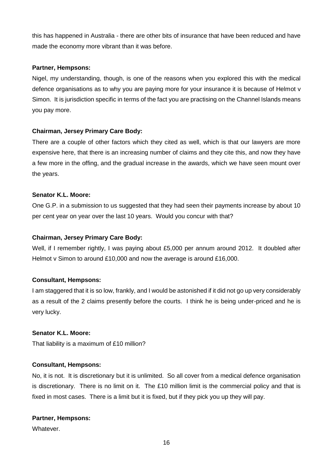this has happened in Australia - there are other bits of insurance that have been reduced and have made the economy more vibrant than it was before.

# **Partner, Hempsons:**

Nigel, my understanding, though, is one of the reasons when you explored this with the medical defence organisations as to why you are paying more for your insurance it is because of Helmot v Simon. It is jurisdiction specific in terms of the fact you are practising on the Channel Islands means you pay more.

# **Chairman, Jersey Primary Care Body:**

There are a couple of other factors which they cited as well, which is that our lawyers are more expensive here, that there is an increasing number of claims and they cite this, and now they have a few more in the offing, and the gradual increase in the awards, which we have seen mount over the years.

# **Senator K.L. Moore:**

One G.P. in a submission to us suggested that they had seen their payments increase by about 10 per cent year on year over the last 10 years. Would you concur with that?

# **Chairman, Jersey Primary Care Body:**

Well, if I remember rightly, I was paying about £5,000 per annum around 2012. It doubled after Helmot v Simon to around £10,000 and now the average is around £16,000.

# **Consultant, Hempsons:**

I am staggered that it is so low, frankly, and I would be astonished if it did not go up very considerably as a result of the 2 claims presently before the courts. I think he is being under-priced and he is very lucky.

# **Senator K.L. Moore:**

That liability is a maximum of £10 million?

# **Consultant, Hempsons:**

No, it is not. It is discretionary but it is unlimited. So all cover from a medical defence organisation is discretionary. There is no limit on it. The £10 million limit is the commercial policy and that is fixed in most cases. There is a limit but it is fixed, but if they pick you up they will pay.

# **Partner, Hempsons:**

Whatever.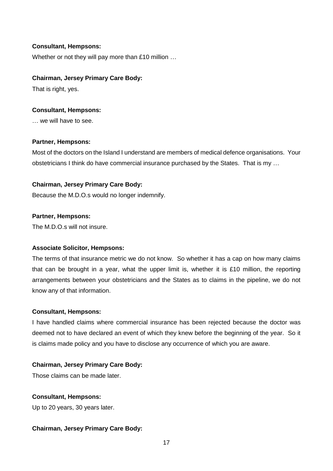## **Consultant, Hempsons:**

Whether or not they will pay more than £10 million …

## **Chairman, Jersey Primary Care Body:**

That is right, yes.

## **Consultant, Hempsons:**

… we will have to see.

## **Partner, Hempsons:**

Most of the doctors on the Island I understand are members of medical defence organisations. Your obstetricians I think do have commercial insurance purchased by the States. That is my …

# **Chairman, Jersey Primary Care Body:**

Because the M.D.O.s would no longer indemnify.

## **Partner, Hempsons:**

The M.D.O.s will not insure.

# **Associate Solicitor, Hempsons:**

The terms of that insurance metric we do not know. So whether it has a cap on how many claims that can be brought in a year, what the upper limit is, whether it is £10 million, the reporting arrangements between your obstetricians and the States as to claims in the pipeline, we do not know any of that information.

## **Consultant, Hempsons:**

I have handled claims where commercial insurance has been rejected because the doctor was deemed not to have declared an event of which they knew before the beginning of the year. So it is claims made policy and you have to disclose any occurrence of which you are aware.

# **Chairman, Jersey Primary Care Body:**

Those claims can be made later.

# **Consultant, Hempsons:**

Up to 20 years, 30 years later.

# **Chairman, Jersey Primary Care Body:**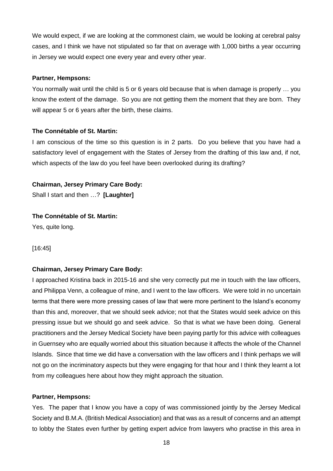We would expect, if we are looking at the commonest claim, we would be looking at cerebral palsy cases, and I think we have not stipulated so far that on average with 1,000 births a year occurring in Jersey we would expect one every year and every other year.

## **Partner, Hempsons:**

You normally wait until the child is 5 or 6 years old because that is when damage is properly … you know the extent of the damage. So you are not getting them the moment that they are born. They will appear 5 or 6 years after the birth, these claims.

## **The Connétable of St. Martin:**

I am conscious of the time so this question is in 2 parts. Do you believe that you have had a satisfactory level of engagement with the States of Jersey from the drafting of this law and, if not, which aspects of the law do you feel have been overlooked during its drafting?

# **Chairman, Jersey Primary Care Body:**

Shall I start and then …? **[Laughter]**

# **The Connétable of St. Martin:**

Yes, quite long.

[16:45]

# **Chairman, Jersey Primary Care Body:**

I approached Kristina back in 2015-16 and she very correctly put me in touch with the law officers, and Philippa Venn, a colleague of mine, and I went to the law officers. We were told in no uncertain terms that there were more pressing cases of law that were more pertinent to the Island's economy than this and, moreover, that we should seek advice; not that the States would seek advice on this pressing issue but we should go and seek advice. So that is what we have been doing. General practitioners and the Jersey Medical Society have been paying partly for this advice with colleagues in Guernsey who are equally worried about this situation because it affects the whole of the Channel Islands. Since that time we did have a conversation with the law officers and I think perhaps we will not go on the incriminatory aspects but they were engaging for that hour and I think they learnt a lot from my colleagues here about how they might approach the situation.

## **Partner, Hempsons:**

Yes. The paper that I know you have a copy of was commissioned jointly by the Jersey Medical Society and B.M.A. (British Medical Association) and that was as a result of concerns and an attempt to lobby the States even further by getting expert advice from lawyers who practise in this area in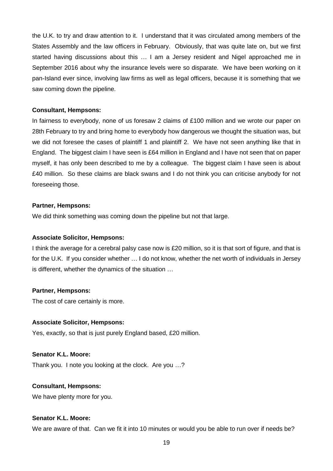the U.K. to try and draw attention to it. I understand that it was circulated among members of the States Assembly and the law officers in February. Obviously, that was quite late on, but we first started having discussions about this … I am a Jersey resident and Nigel approached me in September 2016 about why the insurance levels were so disparate. We have been working on it pan-Island ever since, involving law firms as well as legal officers, because it is something that we saw coming down the pipeline.

### **Consultant, Hempsons:**

In fairness to everybody, none of us foresaw 2 claims of £100 million and we wrote our paper on 28th February to try and bring home to everybody how dangerous we thought the situation was, but we did not foresee the cases of plaintiff 1 and plaintiff 2. We have not seen anything like that in England. The biggest claim I have seen is £64 million in England and I have not seen that on paper myself, it has only been described to me by a colleague. The biggest claim I have seen is about £40 million. So these claims are black swans and I do not think you can criticise anybody for not foreseeing those.

## **Partner, Hempsons:**

We did think something was coming down the pipeline but not that large.

#### **Associate Solicitor, Hempsons:**

I think the average for a cerebral palsy case now is £20 million, so it is that sort of figure, and that is for the U.K. If you consider whether … I do not know, whether the net worth of individuals in Jersey is different, whether the dynamics of the situation …

## **Partner, Hempsons:**

The cost of care certainly is more.

#### **Associate Solicitor, Hempsons:**

Yes, exactly, so that is just purely England based, £20 million.

## **Senator K.L. Moore:**

Thank you. I note you looking at the clock. Are you …?

#### **Consultant, Hempsons:**

We have plenty more for you.

### **Senator K.L. Moore:**

We are aware of that. Can we fit it into 10 minutes or would you be able to run over if needs be?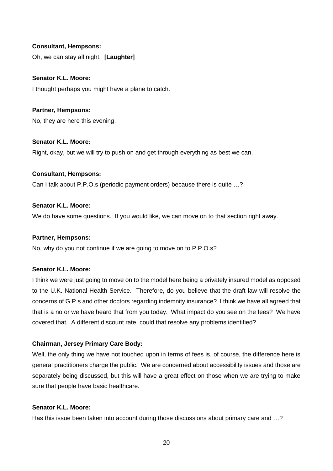## **Consultant, Hempsons:**

Oh, we can stay all night. **[Laughter]**

## **Senator K.L. Moore:**

I thought perhaps you might have a plane to catch.

# **Partner, Hempsons:**

No, they are here this evening.

# **Senator K.L. Moore:**

Right, okay, but we will try to push on and get through everything as best we can.

# **Consultant, Hempsons:**

Can I talk about P.P.O.s (periodic payment orders) because there is quite …?

# **Senator K.L. Moore:**

We do have some questions. If you would like, we can move on to that section right away.

## **Partner, Hempsons:**

No, why do you not continue if we are going to move on to P.P.O.s?

# **Senator K.L. Moore:**

I think we were just going to move on to the model here being a privately insured model as opposed to the U.K. National Health Service. Therefore, do you believe that the draft law will resolve the concerns of G.P.s and other doctors regarding indemnity insurance? I think we have all agreed that that is a no or we have heard that from you today. What impact do you see on the fees? We have covered that. A different discount rate, could that resolve any problems identified?

# **Chairman, Jersey Primary Care Body:**

Well, the only thing we have not touched upon in terms of fees is, of course, the difference here is general practitioners charge the public. We are concerned about accessibility issues and those are separately being discussed, but this will have a great effect on those when we are trying to make sure that people have basic healthcare.

# **Senator K.L. Moore:**

Has this issue been taken into account during those discussions about primary care and …?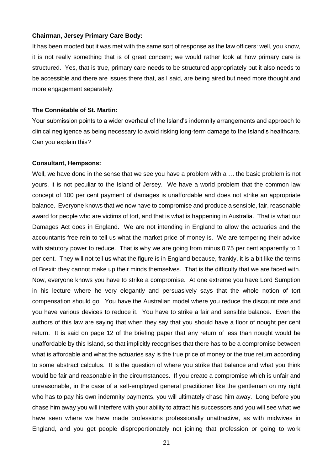## **Chairman, Jersey Primary Care Body:**

It has been mooted but it was met with the same sort of response as the law officers: well, you know, it is not really something that is of great concern; we would rather look at how primary care is structured. Yes, that is true, primary care needs to be structured appropriately but it also needs to be accessible and there are issues there that, as I said, are being aired but need more thought and more engagement separately.

## **The Connétable of St. Martin:**

Your submission points to a wider overhaul of the Island's indemnity arrangements and approach to clinical negligence as being necessary to avoid risking long-term damage to the Island's healthcare. Can you explain this?

#### **Consultant, Hempsons:**

Well, we have done in the sense that we see you have a problem with a … the basic problem is not yours, it is not peculiar to the Island of Jersey. We have a world problem that the common law concept of 100 per cent payment of damages is unaffordable and does not strike an appropriate balance. Everyone knows that we now have to compromise and produce a sensible, fair, reasonable award for people who are victims of tort, and that is what is happening in Australia. That is what our Damages Act does in England. We are not intending in England to allow the actuaries and the accountants free rein to tell us what the market price of money is. We are tempering their advice with statutory power to reduce. That is why we are going from minus 0.75 per cent apparently to 1 per cent. They will not tell us what the figure is in England because, frankly, it is a bit like the terms of Brexit: they cannot make up their minds themselves. That is the difficulty that we are faced with. Now, everyone knows you have to strike a compromise. At one extreme you have Lord Sumption in his lecture where he very elegantly and persuasively says that the whole notion of tort compensation should go. You have the Australian model where you reduce the discount rate and you have various devices to reduce it. You have to strike a fair and sensible balance. Even the authors of this law are saying that when they say that you should have a floor of nought per cent return. It is said on page 12 of the briefing paper that any return of less than nought would be unaffordable by this Island, so that implicitly recognises that there has to be a compromise between what is affordable and what the actuaries say is the true price of money or the true return according to some abstract calculus. It is the question of where you strike that balance and what you think would be fair and reasonable in the circumstances. If you create a compromise which is unfair and unreasonable, in the case of a self-employed general practitioner like the gentleman on my right who has to pay his own indemnity payments, you will ultimately chase him away. Long before you chase him away you will interfere with your ability to attract his successors and you will see what we have seen where we have made professions professionally unattractive, as with midwives in England, and you get people disproportionately not joining that profession or going to work

21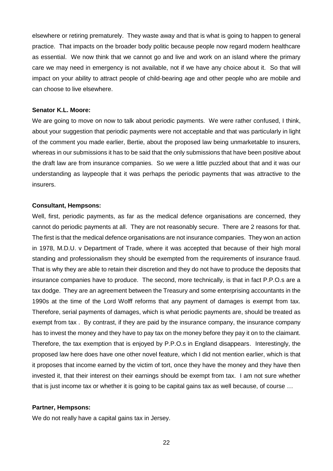elsewhere or retiring prematurely. They waste away and that is what is going to happen to general practice. That impacts on the broader body politic because people now regard modern healthcare as essential. We now think that we cannot go and live and work on an island where the primary care we may need in emergency is not available, not if we have any choice about it. So that will impact on your ability to attract people of child-bearing age and other people who are mobile and can choose to live elsewhere.

## **Senator K.L. Moore:**

We are going to move on now to talk about periodic payments. We were rather confused, I think, about your suggestion that periodic payments were not acceptable and that was particularly in light of the comment you made earlier, Bertie, about the proposed law being unmarketable to insurers, whereas in our submissions it has to be said that the only submissions that have been positive about the draft law are from insurance companies. So we were a little puzzled about that and it was our understanding as laypeople that it was perhaps the periodic payments that was attractive to the insurers.

## **Consultant, Hempsons:**

Well, first, periodic payments, as far as the medical defence organisations are concerned, they cannot do periodic payments at all. They are not reasonably secure. There are 2 reasons for that. The first is that the medical defence organisations are not insurance companies. They won an action in 1978, M.D.U. v Department of Trade, where it was accepted that because of their high moral standing and professionalism they should be exempted from the requirements of insurance fraud. That is why they are able to retain their discretion and they do not have to produce the deposits that insurance companies have to produce. The second, more technically, is that in fact P.P.O.s are a tax dodge. They are an agreement between the Treasury and some enterprising accountants in the 1990s at the time of the Lord Wolff reforms that any payment of damages is exempt from tax. Therefore, serial payments of damages, which is what periodic payments are, should be treated as exempt from tax . By contrast, if they are paid by the insurance company, the insurance company has to invest the money and they have to pay tax on the money before they pay it on to the claimant. Therefore, the tax exemption that is enjoyed by P.P.O.s in England disappears. Interestingly, the proposed law here does have one other novel feature, which I did not mention earlier, which is that it proposes that income earned by the victim of tort, once they have the money and they have then invested it, that their interest on their earnings should be exempt from tax. I am not sure whether that is just income tax or whether it is going to be capital gains tax as well because, of course …

#### **Partner, Hempsons:**

We do not really have a capital gains tax in Jersey.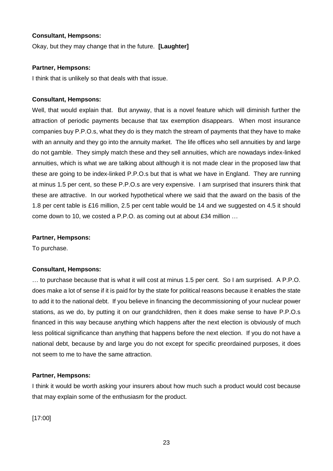## **Consultant, Hempsons:**

Okay, but they may change that in the future. **[Laughter]**

## **Partner, Hempsons:**

I think that is unlikely so that deals with that issue.

## **Consultant, Hempsons:**

Well, that would explain that. But anyway, that is a novel feature which will diminish further the attraction of periodic payments because that tax exemption disappears. When most insurance companies buy P.P.O.s, what they do is they match the stream of payments that they have to make with an annuity and they go into the annuity market. The life offices who sell annuities by and large do not gamble. They simply match these and they sell annuities, which are nowadays index-linked annuities, which is what we are talking about although it is not made clear in the proposed law that these are going to be index-linked P.P.O.s but that is what we have in England. They are running at minus 1.5 per cent, so these P.P.O.s are very expensive. I am surprised that insurers think that these are attractive. In our worked hypothetical where we said that the award on the basis of the 1.8 per cent table is £16 million, 2.5 per cent table would be 14 and we suggested on 4.5 it should come down to 10, we costed a P.P.O. as coming out at about £34 million …

## **Partner, Hempsons:**

To purchase.

# **Consultant, Hempsons:**

… to purchase because that is what it will cost at minus 1.5 per cent. So I am surprised. A P.P.O. does make a lot of sense if it is paid for by the state for political reasons because it enables the state to add it to the national debt. If you believe in financing the decommissioning of your nuclear power stations, as we do, by putting it on our grandchildren, then it does make sense to have P.P.O.s financed in this way because anything which happens after the next election is obviously of much less political significance than anything that happens before the next election. If you do not have a national debt, because by and large you do not except for specific preordained purposes, it does not seem to me to have the same attraction.

# **Partner, Hempsons:**

I think it would be worth asking your insurers about how much such a product would cost because that may explain some of the enthusiasm for the product.

[17:00]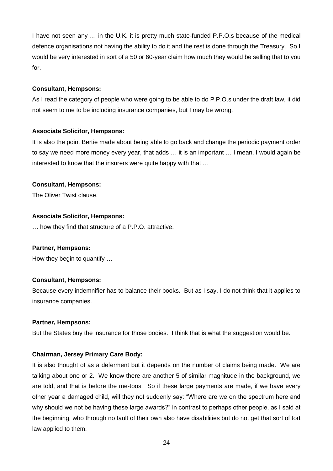I have not seen any … in the U.K. it is pretty much state-funded P.P.O.s because of the medical defence organisations not having the ability to do it and the rest is done through the Treasury. So I would be very interested in sort of a 50 or 60-year claim how much they would be selling that to you for.

## **Consultant, Hempsons:**

As I read the category of people who were going to be able to do P.P.O.s under the draft law, it did not seem to me to be including insurance companies, but I may be wrong.

# **Associate Solicitor, Hempsons:**

It is also the point Bertie made about being able to go back and change the periodic payment order to say we need more money every year, that adds … it is an important … I mean, I would again be interested to know that the insurers were quite happy with that …

# **Consultant, Hempsons:**

The Oliver Twist clause.

# **Associate Solicitor, Hempsons:**

… how they find that structure of a P.P.O. attractive.

# **Partner, Hempsons:**

How they begin to quantify …

# **Consultant, Hempsons:**

Because every indemnifier has to balance their books. But as I say, I do not think that it applies to insurance companies.

# **Partner, Hempsons:**

But the States buy the insurance for those bodies. I think that is what the suggestion would be.

# **Chairman, Jersey Primary Care Body:**

It is also thought of as a deferment but it depends on the number of claims being made. We are talking about one or 2. We know there are another 5 of similar magnitude in the background, we are told, and that is before the me-toos. So if these large payments are made, if we have every other year a damaged child, will they not suddenly say: "Where are we on the spectrum here and why should we not be having these large awards?" in contrast to perhaps other people, as I said at the beginning, who through no fault of their own also have disabilities but do not get that sort of tort law applied to them.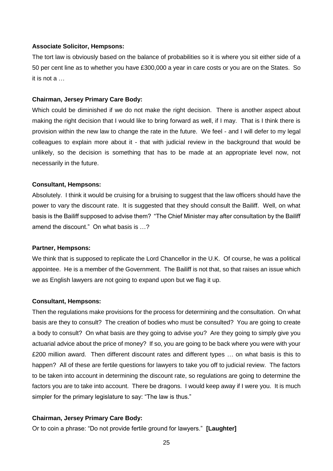## **Associate Solicitor, Hempsons:**

The tort law is obviously based on the balance of probabilities so it is where you sit either side of a 50 per cent line as to whether you have £300,000 a year in care costs or you are on the States. So it is not a …

#### **Chairman, Jersey Primary Care Body:**

Which could be diminished if we do not make the right decision. There is another aspect about making the right decision that I would like to bring forward as well, if I may. That is I think there is provision within the new law to change the rate in the future. We feel - and I will defer to my legal colleagues to explain more about it - that with judicial review in the background that would be unlikely, so the decision is something that has to be made at an appropriate level now, not necessarily in the future.

#### **Consultant, Hempsons:**

Absolutely. I think it would be cruising for a bruising to suggest that the law officers should have the power to vary the discount rate. It is suggested that they should consult the Bailiff. Well, on what basis is the Bailiff supposed to advise them? "The Chief Minister may after consultation by the Bailiff amend the discount." On what basis is …?

## **Partner, Hempsons:**

We think that is supposed to replicate the Lord Chancellor in the U.K. Of course, he was a political appointee. He is a member of the Government. The Bailiff is not that, so that raises an issue which we as English lawyers are not going to expand upon but we flag it up.

#### **Consultant, Hempsons:**

Then the regulations make provisions for the process for determining and the consultation. On what basis are they to consult? The creation of bodies who must be consulted? You are going to create a body to consult? On what basis are they going to advise you? Are they going to simply give you actuarial advice about the price of money? If so, you are going to be back where you were with your £200 million award. Then different discount rates and different types … on what basis is this to happen? All of these are fertile questions for lawyers to take you off to judicial review. The factors to be taken into account in determining the discount rate, so regulations are going to determine the factors you are to take into account. There be dragons. I would keep away if I were you. It is much simpler for the primary legislature to say: "The law is thus."

### **Chairman, Jersey Primary Care Body:**

Or to coin a phrase: "Do not provide fertile ground for lawyers." **[Laughter]**